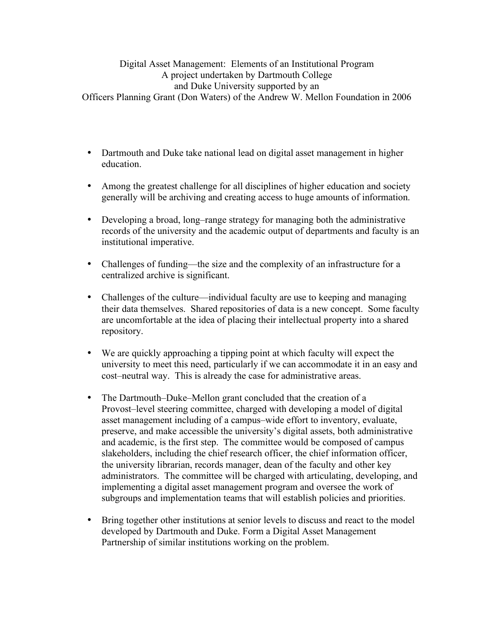## Digital Asset Management: Elements of an Institutional Program A project undertaken by Dartmouth College and Duke University supported by an Officers Planning Grant (Don Waters) of the Andrew W. Mellon Foundation in 2006

- Dartmouth and Duke take national lead on digital asset management in higher education.
- Among the greatest challenge for all disciplines of higher education and society generally will be archiving and creating access to huge amounts of information.
- Developing a broad, long–range strategy for managing both the administrative records of the university and the academic output of departments and faculty is an institutional imperative.
- Challenges of funding—the size and the complexity of an infrastructure for a centralized archive is significant.
- Challenges of the culture—individual faculty are use to keeping and managing their data themselves. Shared repositories of data is a new concept. Some faculty are uncomfortable at the idea of placing their intellectual property into a shared repository.
- We are quickly approaching a tipping point at which faculty will expect the university to meet this need, particularly if we can accommodate it in an easy and cost–neutral way. This is already the case for administrative areas.
- The Dartmouth–Duke–Mellon grant concluded that the creation of a Provost–level steering committee, charged with developing a model of digital asset management including of a campus–wide effort to inventory, evaluate, preserve, and make accessible the university's digital assets, both administrative and academic, is the first step. The committee would be composed of campus slakeholders, including the chief research officer, the chief information officer, the university librarian, records manager, dean of the faculty and other key administrators. The committee will be charged with articulating, developing, and implementing a digital asset management program and oversee the work of subgroups and implementation teams that will establish policies and priorities.
- Bring together other institutions at senior levels to discuss and react to the model developed by Dartmouth and Duke. Form a Digital Asset Management Partnership of similar institutions working on the problem.